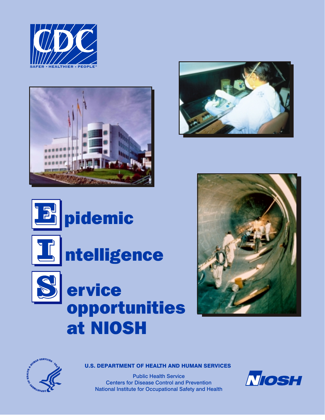







# **E** pidemic



# **T**<br>Intelligence



## ervice opportunities at NIOSH





U.S. DEPARTMENT OF HEALTH AND HUMAN SERVICES

Public Health Service Centers for Disease Control and Prevention National Institute for Occupational Safety and Health

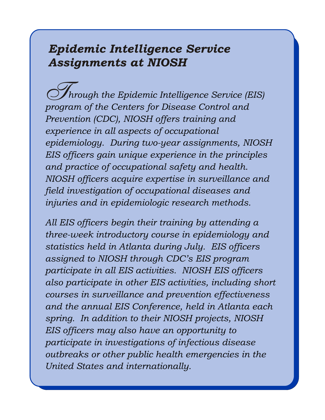### *Epidemic Intelligence Service Assignments at NIOSH*

 *hrough the Epidemic Intelligence Service (EIS) program of the Centers for Disease Control and Prevention (CDC), NIOSH offers training and experience in all aspects of occupational epidemiology. During two-year assignments, NIOSH EIS officers gain unique experience in the principles and practice of occupational safety and health. NIOSH officers acquire expertise in surveillance and field investigation of occupational diseases and injuries and in epidemiologic research methods.*  $\mathcal{S}$ 

*All EIS officers begin their training by attending a three-week introductory course in epidemiology and statistics held in Atlanta during July. EIS officers assigned to NIOSH through CDC's EIS program participate in all EIS activities. NIOSH EIS officers also participate in other EIS activities, including short courses in surveillance and prevention effectiveness and the annual EIS Conference, held in Atlanta each spring. In addition to their NIOSH projects, NIOSH EIS officers may also have an opportunity to participate in investigations of infectious disease outbreaks or other public health emergencies in the United States and internationally.*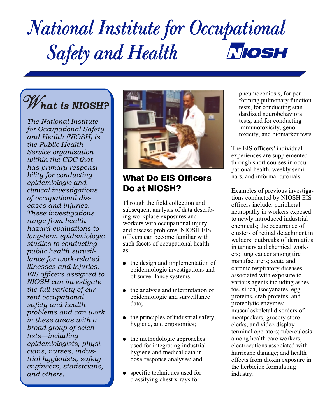## *National Institute for Occupational*  **NOSH**  *Safety and Health*

# W*hat is NIOSH?*

*The National Institute for Occupational Safety and Health (NIOSH) is the Public Health Service organization within the CDC that has primary responsibility for conducting epidemiologic and clinical investigations of occupational diseases and injuries. These investigations range from health hazard evaluations to long-term epidemiologic studies to conducting public health surveillance for work-related illnesses and injuries. EIS officers assigned to NIOSH can investigate the full variety of current occupational safety and health problems and can work in these areas with a broad group of scientists*—*including epidemiologists, physicians, nurses, industrial hygienists, safety engineers, statistcians, and others.*



#### What Do EIS Officers nars, and informal tutorials. **Do at NIOSH?** Examples of previous investiga-

Through the field collection and<br>subsequent analysis of data describing<br>ing workplace exposures and<br>workers with occupational injury<br>and disease problems, NIOSH EIS<br>officers can become familiar with<br>such facets of occupati

- 
- the analysis and interpretation of tos, silica, isocyanates, egg enidemiologic and surveillance proteins, crab proteins, and epidemiologic and surveillance<br>data;
- the principles of industrial safety, meatpackers, grocery store<br>hygiene, and ergonomics; lefts, and video display
- used for integrating industrial<br>hygiene and medical data in hygiene and medical data in hurricane damage; and health dose-response analyses; and health effects from dioxin exposure i
- specific techniques used for industry.<br>classifying chest x-rays for

pneumoconiosis, for performing pulmonary function tests, for conducting standardized neurobehavioral tests, and for conducting immunotoxicity, genotoxicity, and biomarker tests.

The EIS officers' individual experiences are supplemented through short courses in occupational health, weekly semi-

such facts of occupational fical<br>in tanners and chemical work-<br>ers; lung cancer among tire such facets of occupational health<br>
as:<br>  $\bullet$  the design and implementation of<br>
epidemiologic investigations and<br>
of surveillance systems;<br>
associated with exposure to<br>  $\bullet$  surveillance systems; associated with exposure to various agents including asbes proteolytic enzymes; musculoskeletal disorders of clerks, and video display terminal operators; tuberculosis the methodologic approaches among health care workers;<br>used for integrating industrial electrocutions associated with effects from dioxin exposure in the herbicide formulating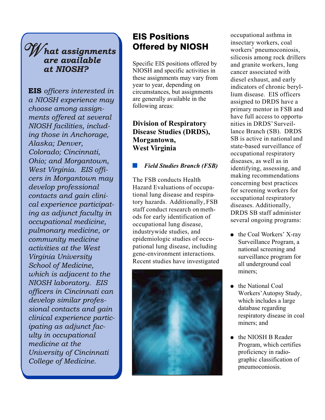#### W *hat assignments are available at NIOSH?*

EIS *officers interested in a NIOSH experience may choose among assignments offered at several NIOSH facilities, including those in Anchorage, Alaska; Denver, Colorado; Cincinnati, Ohio; and Morgantown, West Virginia. EIS officers in Morgantown may develop professional contacts and gain clinical experience participating as adjunct faculty in occupational medicine, pulmonary medicine, or community medicine activities at the West Virginia University School of Medicine, which is adjacent to the NIOSH laboratory. EIS officers in Cincinnati can develop similar professional contacts and gain clinical experience participating as adjunct faculty in occupational medicine at the University of Cincinnati College of Medicine.* 

#### EIS Positions occupational asthma in<br> **CIS DISCONS** insectary workers, coal **Offered by NIOSH** workers' pneumoconiosis,

Specific EIS positions offered by and granite workers, lung NIOSH and specific activities in cancer associated with these assignments may vary from<br>
year to year, depending on<br>
circumstances, but assignments<br>
are generally available in the<br>
series are seen ally available in the<br>
series are seen ally available in the are generally available in the assigned to DRDS have a following areas: primary mentor in FSB and

#### **Division of Respiratory** inities in DRDS' Surveil-<br> **Disease Studies (DRDS).** lance Branch (SB). DRDS **Disease Studies (DRDS), Morgantown,** SB is active in national and West Virginia state-based surveillance of

### -

The FSB conducts Health<br>
Hazard Evaluations of occupa-<br>
tional lung disease and respira-<br>
tory hazards. Additionally, FSB<br>
staff conduct research on meth-<br>
ods for early identification of<br>
occupational Respiratory<br>
occupat occupational lung disease,<br>
industrywide studies, and<br>
epidemiologic studies of occupational lung disease, including<br>
gene-environment interactions.<br>
Recent studies have investigated<br>
all underground coal



silicosis among rock drillers have full access to opportuoccupational respiratory *Field Studies Branch (FSB)* diseases, as well as in<br>identifying, assessing, and

- miners;
- the National Coal Workers' Autopsy Study, which includes a large database regarding respiratory disease in coal miners; and
- the NIOSH B Reader Program, which certifies proficiency in radiographic classification of pneumoconiosis.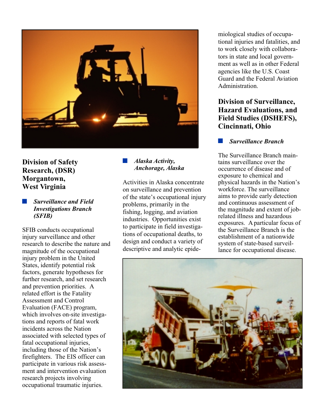

# -

injury surveillance and other<br>research to describe the nature and setign and conduct a variety of state-based surveil-<br>magnitude of the occupational disease.<br>descriptive and analytic epide-<br>lance for occupational disease. injury problem in the United States, identify potential risk factors, generate hypotheses for further research, and set research and prevention priorities. A related effort is the Fatality Assessment and Control Evaluation (FACE) program, which involves on-site investigations and reports of fatal work incidents across the Nation associated with selected types of fatal occupational injuries, including those of the Nation's firefighters. The EIS officer can participate in various risk assessment and intervention evaluation research projects involving occupational traumatic injuries.

## -

West Virginia on surveillance and prevention workforce. The surveillance<br>of the state's occupational injury aims to provide early detection of the state's occupational injury aims to provide early detection<br>
and continuous assessment of **Exercise 18 Surveillance and Field**<br> **Exercise 18 Surveillance and Field**<br> **Exercise** 18 September 19 and continuous assessment of<br> **EXERICAN**<br> **EXERICAN**<br> **EXERICAN**<br> **EXERICAN**<br> **EXERICAN**<br> **EXERICAN**<br> **EXERICAN**<br> **EXER** 

miological studies of occupational injuries and fatalities, and to work closely with collaborators in state and local government as well as in other Federal agencies like the U.S. Coast Guard and the Federal Aviation Administration.

#### **Division of Surveillance, Hazard Evaluations, and Field Studies (DSHEFS), Cincinnati, Ohio**

#### *Surveillance Branch* -

The Surveillance Branch main-<br>tains surveillance over the **Division of Safety**<br> **Division of Safety**<br> **Division of Safety**<br> **Division of Safety**<br> **Division of Safety**<br> **Division of Safety**<br> **Division of Safety**<br> *Anchorage, Alaska***<br>
<b>Division**<br> *Anchorage, Alaska*<br> *Cocurrenc* **Research, (DSR)** *Anchorage, Alaska* occurrence of disease and **Members** *Membershare Anchorage, Alaska* occurrence of disease and *Membershare* **Morgantown,**<br>Activities in Alaska concentrate by physical hazards in the Nation's

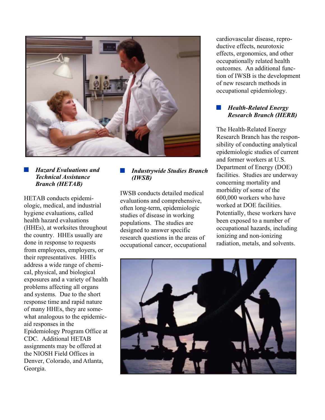

# $\blacksquare$  Hazard Evaluations and

HETAB conducts epidemi-<br>
ologic, medical, and industrial<br>
hygiene evaluations, called<br>
health hazard evaluations<br>
bealth hazard evaluations<br>
tudies of disease in working<br>
populations. The studies are<br>
(HHEs), at worksites their representatives. HHEs address a wide range of chemical, physical, and biological exposures and a variety of health problems affecting all organs and systems. Due to the short response time and rapid nature of many HHEs, they are somewhat analogous to the epidemicaid responses in the Epidemiology Program Office at CDC. Additional HETAB assignments may be offered at the NIOSH Field Offices in Denver, Colorado, and Atlanta, Georgia.

IWSB conducts detailed medical  $\begin{array}{r} \text{morouity of some of the} \\ 600.000 \text{ workers who have} \end{array}$ 

cardiovascular disease, reproductive effects, neurotoxic effects, ergonomics, and other occupationally related health outcomes. An additional function of IWSB is the development of new research methods in occupational epidemiology.

#### *Health-Related Energy Research Branch (HERB)*

The Health-Related Energy Research Branch has the responsibility of conducting analytical epidemiologic studies of current and former workers at U.S. **Hazard Evaluations and Industrywide Studies Branch** Department of Energy (DOE)<br> *Technical Assistance* **(IWSB)**<br> *Hanch (HETAB)*<br> *Hanch (HETAB)* concerning mortality and<br>morbidity of some of the

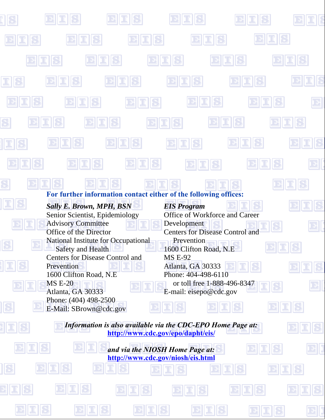